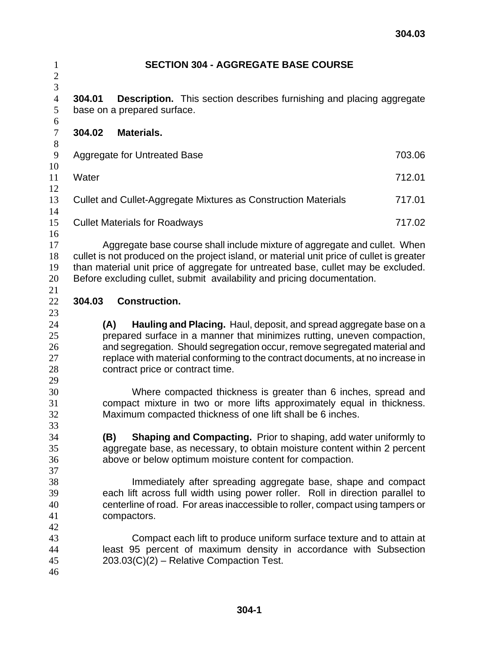| $\mathbf{1}$<br>$\overline{c}$               | <b>SECTION 304 - AGGREGATE BASE COURSE</b>                                                                                                                                                                                                                                                                                                             |        |
|----------------------------------------------|--------------------------------------------------------------------------------------------------------------------------------------------------------------------------------------------------------------------------------------------------------------------------------------------------------------------------------------------------------|--------|
| 3<br>$\overline{4}$<br>5<br>$\boldsymbol{6}$ | 304.01<br><b>Description.</b> This section describes furnishing and placing aggregate<br>base on a prepared surface.                                                                                                                                                                                                                                   |        |
| $\tau$<br>$8\,$                              | 304.02<br><b>Materials.</b>                                                                                                                                                                                                                                                                                                                            |        |
| $\mathbf{9}$<br>10                           | <b>Aggregate for Untreated Base</b>                                                                                                                                                                                                                                                                                                                    | 703.06 |
| 11<br>12                                     | Water                                                                                                                                                                                                                                                                                                                                                  | 712.01 |
| 13<br>14                                     | Cullet and Cullet-Aggregate Mixtures as Construction Materials                                                                                                                                                                                                                                                                                         | 717.01 |
| 15<br>16                                     | <b>Cullet Materials for Roadways</b>                                                                                                                                                                                                                                                                                                                   | 717.02 |
| 17<br>18<br>19<br>20                         | Aggregate base course shall include mixture of aggregate and cullet. When<br>cullet is not produced on the project island, or material unit price of cullet is greater<br>than material unit price of aggregate for untreated base, cullet may be excluded.<br>Before excluding cullet, submit availability and pricing documentation.                 |        |
| 21<br>22                                     | 304.03<br><b>Construction.</b>                                                                                                                                                                                                                                                                                                                         |        |
| 23<br>24<br>25<br>26<br>27<br>28<br>29       | Hauling and Placing. Haul, deposit, and spread aggregate base on a<br>(A)<br>prepared surface in a manner that minimizes rutting, uneven compaction,<br>and segregation. Should segregation occur, remove segregated material and<br>replace with material conforming to the contract documents, at no increase in<br>contract price or contract time. |        |
| 30<br>31<br>32                               | Where compacted thickness is greater than 6 inches, spread and<br>compact mixture in two or more lifts approximately equal in thickness.<br>Maximum compacted thickness of one lift shall be 6 inches.                                                                                                                                                 |        |
| 33<br>34<br>35<br>36                         | <b>Shaping and Compacting.</b> Prior to shaping, add water uniformly to<br>(B)<br>aggregate base, as necessary, to obtain moisture content within 2 percent<br>above or below optimum moisture content for compaction.                                                                                                                                 |        |
| 37<br>38<br>39<br>40<br>41                   | Immediately after spreading aggregate base, shape and compact<br>each lift across full width using power roller. Roll in direction parallel to<br>centerline of road. For areas inaccessible to roller, compact using tampers or<br>compactors.                                                                                                        |        |
| 42<br>43<br>44<br>45<br>46                   | Compact each lift to produce uniform surface texture and to attain at<br>least 95 percent of maximum density in accordance with Subsection<br>203.03(C)(2) - Relative Compaction Test.                                                                                                                                                                 |        |